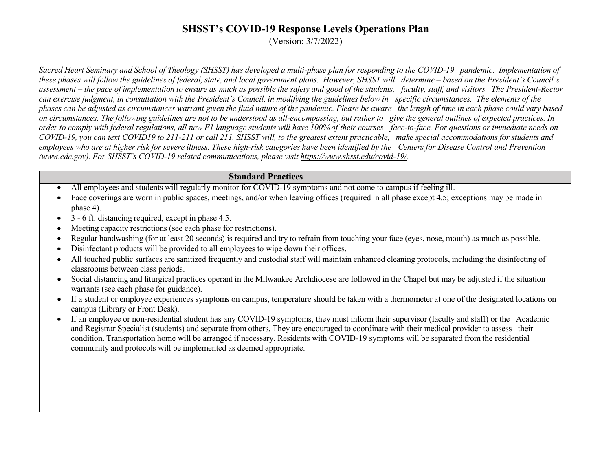(Version: 3/7/2022)

Sacred Heart Seminary and School of Theology (SHSST) has developed a multi-phase plan for responding to the COVID-19 pandemic. Implementation of these phases will follow the guidelines of federal, state, and local government plans. However, SHSST will determine – based on the President's Council's assessment – the pace of implementation to ensure as much as possible the safety and good of the students, faculty, staff, and visitors. The President-Rector can exercise judgment, in consultation with the President's Council, in modifying the guidelines below in specific circumstances. The elements of the phases can be adjusted as circumstances warrant given the fluid nature of the pandemic. Please be aware the length of time in each phase could vary based on circumstances. The following guidelines are not to be understood as all-encompassing, but rather to give the general outlines of expected practices. In order to comply with federal regulations, all new F1 language students will have 100% of their courses face-to-face. For questions or immediate needs on COVID-19, you can text COVID19 to 211-211 or call 211. SHSST will, to the greatest extent practicable, make special accommodations for students and employees who are at higher risk for severe illness. These high-risk categories have been identified by the Centers for Disease Control and Prevention *(www.cdc.gov). For SHSST's COVID-19 related communications, please vi[sit](https://www.shsst.edu/covid-19/) [https://www.shsst.edu/covid-19/.](https://www.shsst.edu/covid-19/)*

#### **Standard Practices**

- All employees and students will regularly monitor for COVID-19 symptoms and not come to campus if feeling ill.
- Face coverings are worn in public spaces, meetings, and/or when leaving offices (required in all phase except 4.5; exceptions may be made in phase 4).
- $\bullet$  3 6 ft. distancing required, except in phase 4.5.
- Meeting capacity restrictions (see each phase for restrictions).
- Regular handwashing (for at least 20 seconds) is required and try to refrain from touching your face (eyes, nose, mouth) as much as possible.
- Disinfectant products will be provided to all employees to wipe down their offices.
- All touched public surfaces are sanitized frequently and custodial staff will maintain enhanced cleaning protocols, including the disinfecting of classrooms between class periods.
- Social distancing and liturgical practices operant in the Milwaukee Archdiocese are followed in the Chapel but may be adjusted if the situation warrants (see each phase for guidance).
- If a student or employee experiences symptoms on campus, temperature should be taken with a thermometer at one of the designated locations on campus (Library or Front Desk).
- If an employee or non-residential student has any COVID-19 symptoms, they must inform their supervisor (faculty and staff) or the Academic and Registrar Specialist (students) and separate from others. They are encouraged to coordinate with their medical provider to assess their condition. Transportation home will be arranged if necessary. Residents with COVID-19 symptoms will be separated from the residential community and protocols will be implemented as deemed appropriate.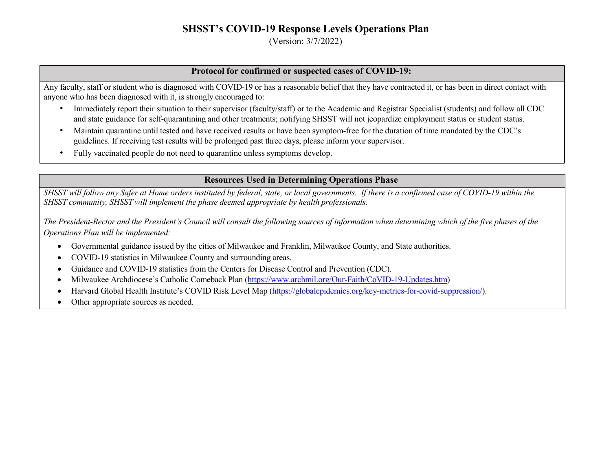(Version: 3/7/2022)

### **Protocol for confirmed or suspected cases of COVID-19:**

Any faculty, staff or student who is diagnosed with COVID-19 or has a reasonable belief that they have contracted it, or has been in direct contact with anyone who has been diagnosed with it, is strongly encouraged to:

- Immediately report their situation to their supervisor (faculty/staff) or to the Academic and Registrar Specialist (students) and follow all CDC and state guidance for self-quarantining and other treatments; notifying SHSST will not jeopardize employment status or student status.
- Maintain quarantine until tested and have received results or have been symptom-free for the duration of time mandated by the CDC's guidelines. If receiving test results will be prolonged past three days, please inform your supervisor.
- Fully vaccinated people do not need to quarantine unless symptoms develop.

### **Resources Used in Determining Operations Phase**

SHSST will follow any Safer at Home orders instituted by federal, state, or local governments. If there is a confirmed case of COVID-19 within the *SHSST community, SHSST will implement the phase deemed appropriate by health professionals.*

The President-Rector and the President's Council will consult the following sources of information when determining which of the five phases of the *Operations Plan will be implemented:*

- Governmental guidance issued by the cities of Milwaukee and Franklin, Milwaukee County, and State authorities.
- COVID-19 statistics in Milwaukee County and surrounding areas.
- Guidance and COVID-19 statistics from the Centers for Disease Control and Prevention (CDC).
- Milwaukee Archdiocese's Catholic Comeback Plan [\(https://www.archmil.org/Our-Faith/CoVID-19-Updates.htm\)](https://www.archmil.org/Our-Faith/CoVID-19-Updates.htm)
- Harvard Global Health Institute's COVID Risk Level Map [\(https://globalepidemics.org/key-metrics-for-covid-suppression/\).](https://globalepidemics.org/key-metrics-for-covid-suppression/)
- Other appropriate sources as needed.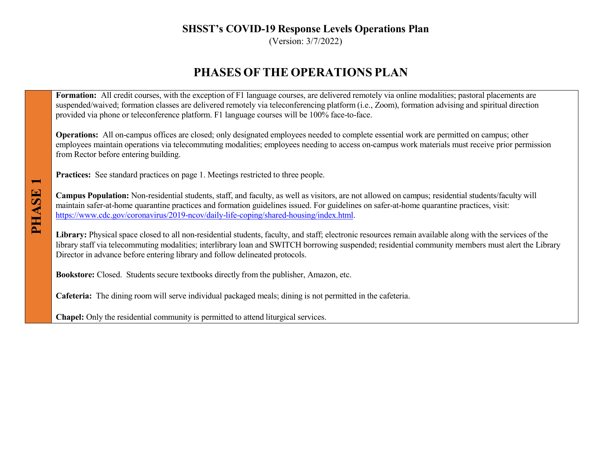(Version: 3/7/2022)

# **PHASES OFTHE OPERATIONS PLAN**

Formation: All credit courses, with the exception of F1 language courses, are delivered remotely via online modalities; pastoral placements are suspended/waived; formation classes are delivered remotely via teleconferencing platform (i.e., Zoom), formation advising and spiritual direction provided via phone or teleconference platform. F1 language courses will be 100% face-to-face.

**Operations:** All on-campus offices are closed; only designated employees needed to complete essential work are permitted on campus; other employees maintain operations via telecommuting modalities; employees needing to access on-campus work materials must receive prior permission from Rector before entering building.

**Practices:** See standard practices on page 1. Meetings restricted to three people.

**Campus Population:** Non-residential students, staff, and faculty, as well as visitors, are not allowed on campus; residential students/faculty will maintain safer-at-home quarantine practices and formation guidelines issued. For guidelines on safer-at-home quarantine practices, visit: [https://www.cdc.gov/coronavirus/2019-ncov/daily-life-coping/shared-housing/index.html.](https://www.cdc.gov/coronavirus/2019-ncov/daily-life-coping/shared-housing/index.html)

Library: Physical space closed to all non-residential students, faculty, and staff; electronic resources remain available along with the services of the library staff via telecommuting modalities; interlibrary loan and SWITCH borrowing suspended; residential community members must alert the Library Director in advance before entering library and follow delineated protocols.

**Bookstore:** Closed. Students secure textbooks directly from the publisher, Amazon, etc.

**Cafeteria:** The dining room will serve individual packaged meals; dining is not permitted in the cafeteria.

**Chapel:** Only the residential community is permitted to attend liturgical services.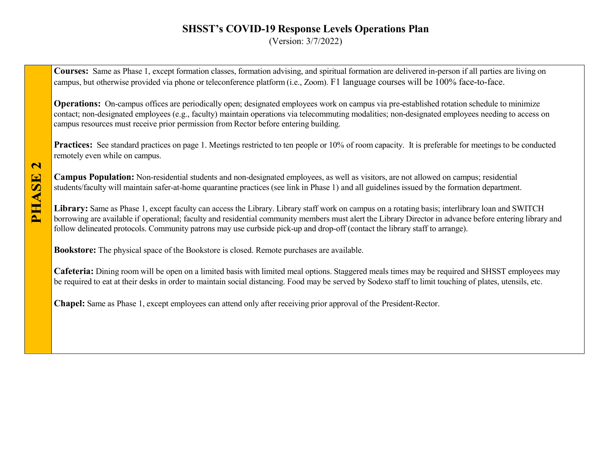(Version: 3/7/2022)

**Courses:** Same as Phase 1, except formation classes, formation advising, and spiritual formation are delivered in-person if all parties are living on campus, but otherwise provided via phone or teleconference platform (i.e., Zoom). F1 language courses will be 100% face-to-face.

**Operations:** On-campus offices are periodically open; designated employees work on campus via pre-established rotation schedule to minimize contact; non-designated employees (e.g., faculty) maintain operations via telecommuting modalities; non-designated employees needing to access on campus resources must receive prior permission from Rector before entering building.

**Practices:** See standard practices on page 1. Meetings restricted to ten people or 10% of room capacity. It is preferable for meetings to be conducted remotely even while on campus.

**Campus Population:** Non-residential students and non-designated employees, as well as visitors, are not allowed on campus; residential students/faculty will maintain safer-at-home quarantine practices (see link in Phase 1) and all guidelines issued by the formation department.

**Library:** Same as Phase 1, except faculty can access the Library. Library staff work on campus on a rotating basis; interlibrary loan and SWITCH borrowing are available if operational; faculty and residential community members must alert the Library Director in advance before entering library and follow delineated protocols. Community patrons may use curbside pick-up and drop-off (contact the library staff to arrange).

**Bookstore:** The physical space of the Bookstore is closed. Remote purchases are available.

**Cafeteria:** Dining room will be open on a limited basis with limited meal options. Staggered meals times may be required and SHSST employees may be required to eat at their desks in order to maintain social distancing. Food may be served by Sodexo staff to limit touching of plates, utensils, etc.

**Chapel:** Same as Phase 1, except employees can attend only after receiving prior approval of the President-Rector.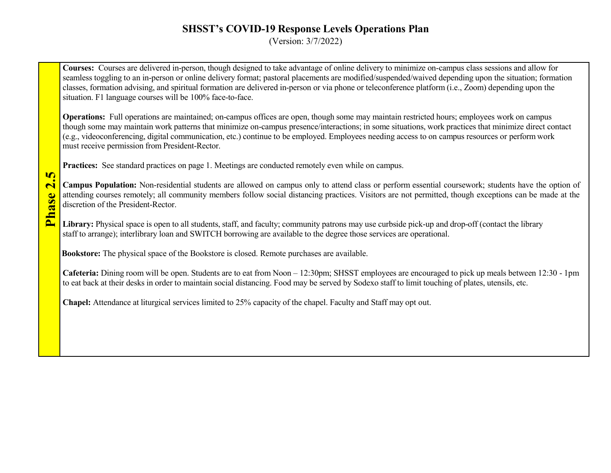(Version: 3/7/2022)

**Courses:** Courses are delivered in-person, though designed to take advantage of online delivery to minimize on-campus class sessions and allow for seamless toggling to an in-person or online delivery format; pastoral placements are modified/suspended/waived depending upon the situation; formation classes, formation advising, and spiritual formation are delivered in-person or via phone or teleconference platform (i.e., Zoom) depending upon the situation. F1 language courses will be 100% face-to-face.

**Operations:** Full operations are maintained; on-campus offices are open, though some may maintain restricted hours; employees work on campus though some may maintain work patterns that minimize on-campus presence/interactions; in some situations, work practices that minimize direct contact (e.g., videoconferencing, digital communication, etc.) continue to be employed. Employees needing access to on campus resources or perform work must receive permission from President-Rector.

**Practices:** See standard practices on page 1. Meetings are conducted remotely even while on campus.

**Campus Population:** Non-residential students are allowed on campus only to attend class or perform essential coursework; students have the option of attending courses remotely; all community members follow social distancing practices. Visitors are not permitted, though exceptions can be made at the discretion of the President-Rector.

Library: Physical space is open to all students, staff, and faculty; community patrons may use curbside pick-up and drop-off (contact the library staff to arrange); interlibrary loan and SWITCH borrowing are available to the degree those services are operational.

**Bookstore:** The physical space of the Bookstore is closed. Remote purchases are available.

**Phas**

**e 2.5**

**Cafeteria:** Dining room will be open. Students are to eat from Noon – 12:30pm; SHSST employees are encouraged to pick up meals between 12:30 - 1pm to eat back at their desks in order to maintain social distancing. Food may be served by Sodexo staff to limit touching of plates, utensils, etc.

**Chapel:** Attendance at liturgical services limited to 25% capacity of the chapel. Faculty and Staff may opt out.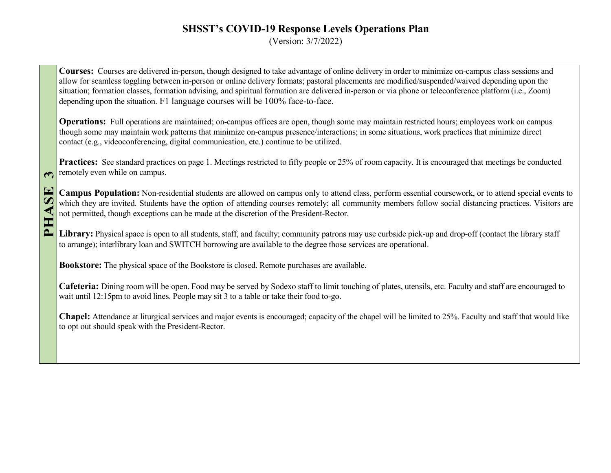(Version: 3/7/2022)

**Courses:** Courses are delivered in-person, though designed to take advantage of online delivery in order to minimize on-campus class sessions and allow for seamless toggling between in-person or online delivery formats; pastoral placements are modified/suspended/waived depending upon the situation; formation classes, formation advising, and spiritual formation are delivered in-person or via phone or teleconference platform (i.e., Zoom) depending upon the situation. F1 language courses will be 100% face-to-face.

**Operations:** Full operations are maintained; on-campus offices are open, though some may maintain restricted hours; employees work on campus though some may maintain work patterns that minimize on-campus presence/interactions; in some situations, work practices that minimize direct contact (e.g., videoconferencing, digital communication, etc.) continue to be utilized.

**Practices:** See standard practices on page 1. Meetings restricted to fifty people or 25% of room capacity. It is encouraged that meetings be conducted remotely even while on campus.

**Campus Population:** Non-residential students are allowed on campus only to attend class, perform essential coursework, or to attend special events to which they are invited. Students have the option of attending courses remotely; all community members follow social distancing practices. Visitors are not permitted, though exceptions can be made at the discretion of the President-Rector.

Library: Physical space is open to all students, staff, and faculty; community patrons may use curbside pick-up and drop-off (contact the library staff to arrange); interlibrary loan and SWITCH borrowing are available to the degree those services are operational.

**Bookstore:** The physical space of the Bookstore is closed. Remote purchases are available.

 $\curvearrowleft$ 

SE

E

**Cafeteria:** Dining room will be open. Food may be served by Sodexo staff to limit touching of plates, utensils, etc. Faculty and staff are encouraged to wait until 12:15pm to avoid lines. People may sit 3 to a table or take their food to-go.

**Chapel:** Attendance at liturgical services and major events is encouraged; capacity of the chapel will be limited to 25%. Faculty and staff that would like to opt out should speak with the President-Rector.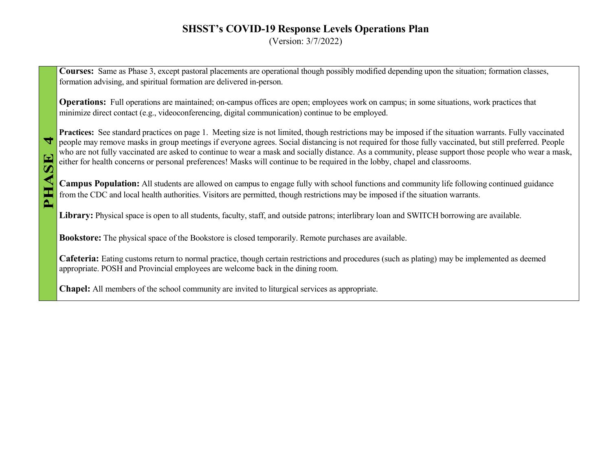(Version: 3/7/2022)

**Courses:** Same as Phase 3, except pastoral placements are operational though possibly modified depending upon the situation; formation classes, formation advising, and spiritual formation are delivered in-person.

**Operations:** Full operations are maintained; on-campus offices are open; employees work on campus; in some situations, work practices that minimize direct contact (e.g., videoconferencing, digital communication) continue to be employed.

**Practices:** See standard practices on page 1. Meeting size is not limited, though restrictions may be imposed if the situation warrants. Fully vaccinated people may remove masks in group meetings if everyone agrees. Social distancing is not required for those fully vaccinated, but still preferred. People who are not fully vaccinated are asked to continue to wear a mask and socially distance. As a community, please support those people who wear a mask, either for health concerns or personal preferences! Masks will continue to be required in the lobby, chapel and classrooms.

**Campus Population:** All students are allowed on campus to engage fully with school functions and community life following continued guidance from the CDC and local health authorities. Visitors are permitted, though restrictions may be imposed if the situation warrants.

**Library:** Physical space is open to all students, faculty, staff, and outside patrons; interlibrary loan and SWITCH borrowing are available.

**Bookstore:** The physical space of the Bookstore is closed temporarily. Remote purchases are available.

**Cafeteria:** Eating customs return to normal practice, though certain restrictions and procedures (such as plating) may be implemented as deemed appropriate. POSH and Provincial employees are welcome back in the dining room.

**Chapel:** All members of the school community are invited to liturgical services as appropriate.

 $\overline{\mathbf{d}}$ 

52

◀

PH.